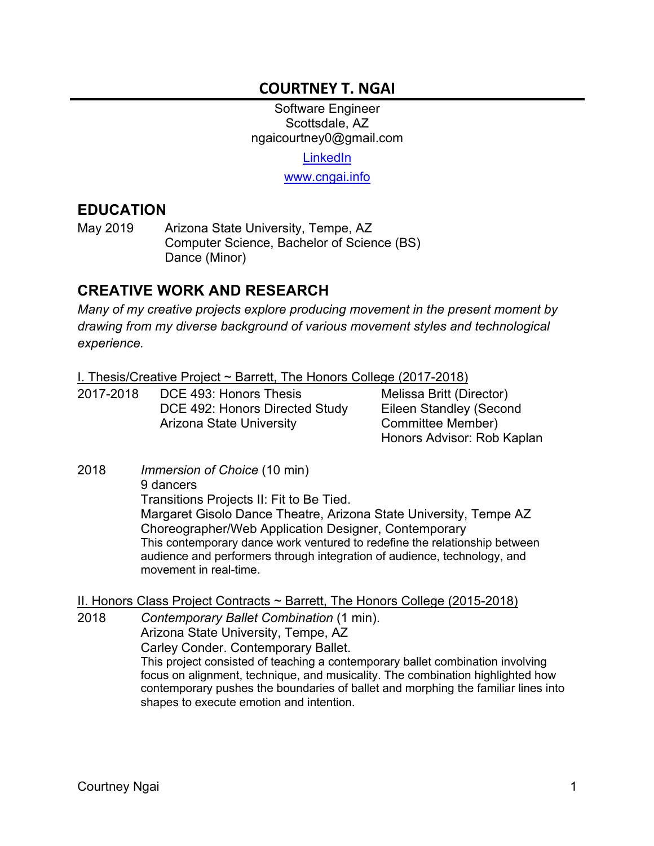## **COURTNEY T. NGAI**

Software Engineer Scottsdale, AZ ngaicourtney0@gmail.com **LinkedIn** www.cngai.info

#### **EDUCATION**

May 2019 Arizona State University, Tempe, AZ Computer Science, Bachelor of Science (BS) Dance (Minor)

#### **CREATIVE WORK AND RESEARCH**

*Many of my creative projects explore producing movement in the present moment by drawing from my diverse background of various movement styles and technological experience.*

I. Thesis/Creative Project ~ Barrett, The Honors College (2017-2018)

2017-2018 DCE 493: Honors Thesis DCE 492: Honors Directed Study Arizona State University

Melissa Britt (Director) Eileen Standley (Second Committee Member) Honors Advisor: Rob Kaplan

2018 *Immersion of Choice* (10 min) 9 dancers Transitions Projects II: Fit to Be Tied. Margaret Gisolo Dance Theatre, Arizona State University, Tempe AZ Choreographer/Web Application Designer, Contemporary This contemporary dance work ventured to redefine the relationship between audience and performers through integration of audience, technology, and movement in real-time.

II. Honors Class Project Contracts ~ Barrett, The Honors College (2015-2018)

2018 *Contemporary Ballet Combination* (1 min). Arizona State University, Tempe, AZ Carley Conder. Contemporary Ballet. This project consisted of teaching a contemporary ballet combination involving focus on alignment, technique, and musicality. The combination highlighted how contemporary pushes the boundaries of ballet and morphing the familiar lines into shapes to execute emotion and intention.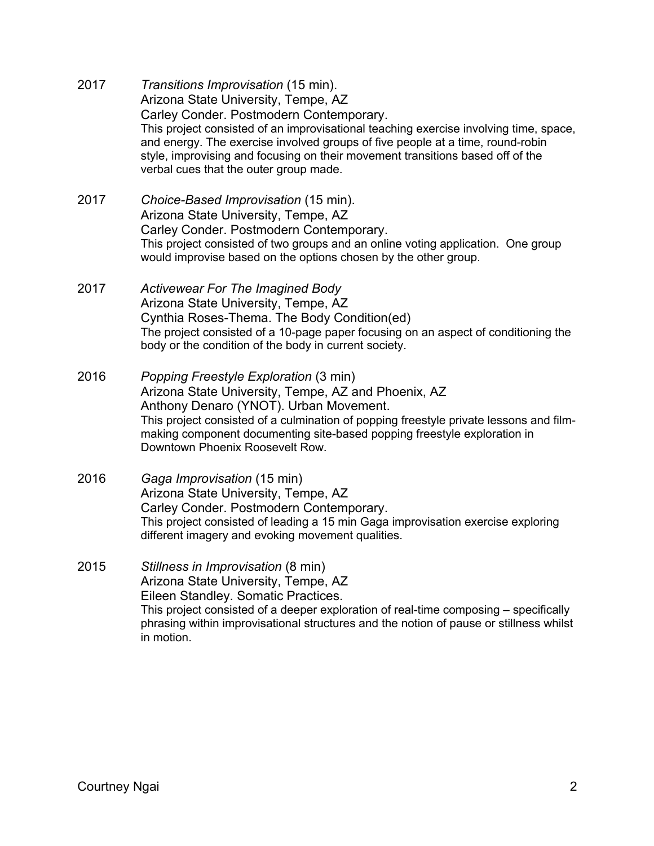- 2017 *Transitions Improvisation* (15 min). Arizona State University, Tempe, AZ Carley Conder. Postmodern Contemporary. This project consisted of an improvisational teaching exercise involving time, space, and energy. The exercise involved groups of five people at a time, round-robin style, improvising and focusing on their movement transitions based off of the verbal cues that the outer group made.
- 2017 *Choice-Based Improvisation* (15 min). Arizona State University, Tempe, AZ Carley Conder. Postmodern Contemporary. This project consisted of two groups and an online voting application. One group would improvise based on the options chosen by the other group.
- 2017 *Activewear For The Imagined Body* Arizona State University, Tempe, AZ Cynthia Roses-Thema. The Body Condition(ed) The project consisted of a 10-page paper focusing on an aspect of conditioning the body or the condition of the body in current society.
- 2016 *Popping Freestyle Exploration* (3 min) Arizona State University, Tempe, AZ and Phoenix, AZ Anthony Denaro (YNOT). Urban Movement. This project consisted of a culmination of popping freestyle private lessons and filmmaking component documenting site-based popping freestyle exploration in Downtown Phoenix Roosevelt Row.
- 2016 *Gaga Improvisation* (15 min) Arizona State University, Tempe, AZ Carley Conder. Postmodern Contemporary. This project consisted of leading a 15 min Gaga improvisation exercise exploring different imagery and evoking movement qualities.

2015 *Stillness in Improvisation* (8 min) Arizona State University, Tempe, AZ Eileen Standley. Somatic Practices. This project consisted of a deeper exploration of real-time composing – specifically phrasing within improvisational structures and the notion of pause or stillness whilst in motion.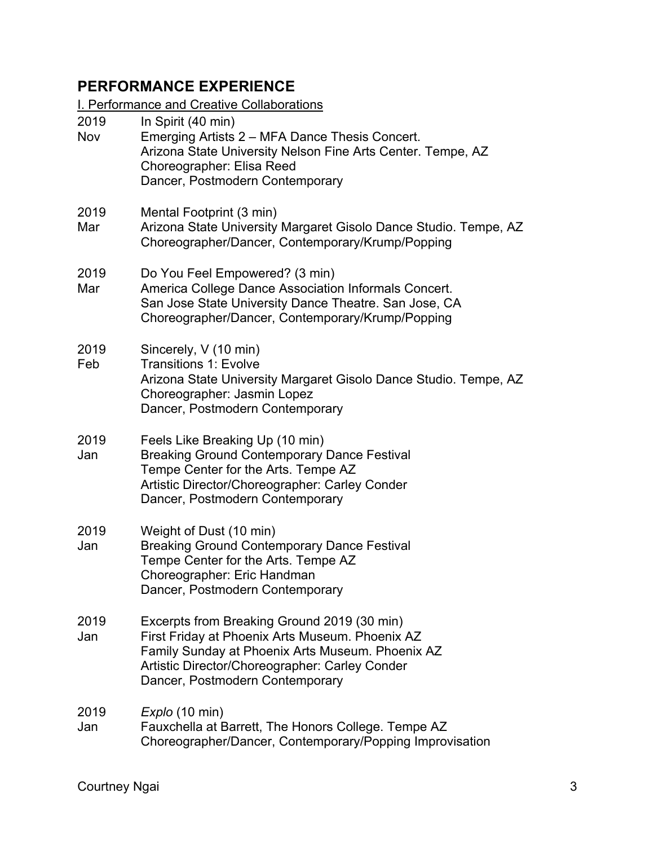# **PERFORMANCE EXPERIENCE**

**I. Performance and Creative Collaborations** 

| 2019<br>Nov | In Spirit (40 min)<br>Emerging Artists 2 – MFA Dance Thesis Concert.<br>Arizona State University Nelson Fine Arts Center. Tempe, AZ<br>Choreographer: Elisa Reed<br>Dancer, Postmodern Contemporary                                     |
|-------------|-----------------------------------------------------------------------------------------------------------------------------------------------------------------------------------------------------------------------------------------|
| 2019<br>Mar | Mental Footprint (3 min)<br>Arizona State University Margaret Gisolo Dance Studio. Tempe, AZ<br>Choreographer/Dancer, Contemporary/Krump/Popping                                                                                        |
| 2019<br>Mar | Do You Feel Empowered? (3 min)<br>America College Dance Association Informals Concert.<br>San Jose State University Dance Theatre. San Jose, CA<br>Choreographer/Dancer, Contemporary/Krump/Popping                                     |
| 2019<br>Feb | Sincerely, V (10 min)<br><b>Transitions 1: Evolve</b><br>Arizona State University Margaret Gisolo Dance Studio. Tempe, AZ<br>Choreographer: Jasmin Lopez<br>Dancer, Postmodern Contemporary                                             |
| 2019<br>Jan | Feels Like Breaking Up (10 min)<br><b>Breaking Ground Contemporary Dance Festival</b><br>Tempe Center for the Arts. Tempe AZ<br>Artistic Director/Choreographer: Carley Conder<br>Dancer, Postmodern Contemporary                       |
| 2019<br>Jan | Weight of Dust (10 min)<br><b>Breaking Ground Contemporary Dance Festival</b><br>Tempe Center for the Arts. Tempe AZ<br>Choreographer: Eric Handman<br>Dancer, Postmodern Contemporary                                                  |
| 2019<br>Jan | Excerpts from Breaking Ground 2019 (30 min)<br>First Friday at Phoenix Arts Museum. Phoenix AZ<br>Family Sunday at Phoenix Arts Museum. Phoenix AZ<br>Artistic Director/Choreographer: Carley Conder<br>Dancer, Postmodern Contemporary |
| 2019<br>Jan | Explo (10 min)<br>Fauxchella at Barrett, The Honors College. Tempe AZ<br>Choreographer/Dancer, Contemporary/Popping Improvisation                                                                                                       |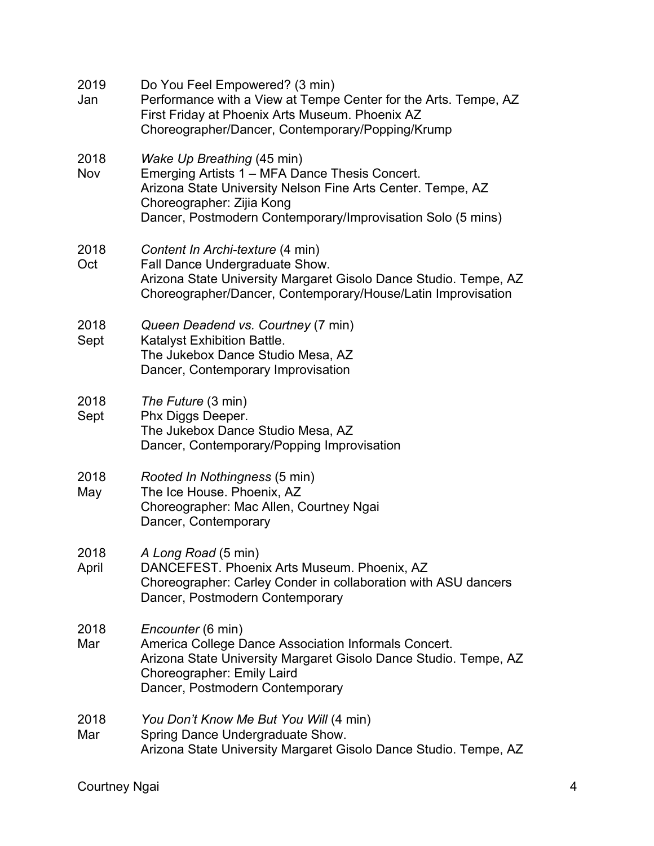| 2019<br>Jan   | Do You Feel Empowered? (3 min)<br>Performance with a View at Tempe Center for the Arts. Tempe, AZ<br>First Friday at Phoenix Arts Museum. Phoenix AZ<br>Choreographer/Dancer, Contemporary/Popping/Krump                                |
|---------------|-----------------------------------------------------------------------------------------------------------------------------------------------------------------------------------------------------------------------------------------|
| 2018<br>Nov   | Wake Up Breathing (45 min)<br>Emerging Artists 1 - MFA Dance Thesis Concert.<br>Arizona State University Nelson Fine Arts Center. Tempe, AZ<br>Choreographer: Zijia Kong<br>Dancer, Postmodern Contemporary/Improvisation Solo (5 mins) |
| 2018<br>Oct   | Content In Archi-texture (4 min)<br>Fall Dance Undergraduate Show.<br>Arizona State University Margaret Gisolo Dance Studio. Tempe, AZ<br>Choreographer/Dancer, Contemporary/House/Latin Improvisation                                  |
| 2018<br>Sept  | Queen Deadend vs. Courtney (7 min)<br>Katalyst Exhibition Battle.<br>The Jukebox Dance Studio Mesa, AZ<br>Dancer, Contemporary Improvisation                                                                                            |
| 2018<br>Sept  | The Future (3 min)<br>Phx Diggs Deeper.<br>The Jukebox Dance Studio Mesa, AZ<br>Dancer, Contemporary/Popping Improvisation                                                                                                              |
| 2018<br>May   | Rooted In Nothingness (5 min)<br>The Ice House. Phoenix, AZ<br>Choreographer: Mac Allen, Courtney Ngai<br>Dancer, Contemporary                                                                                                          |
| 2018<br>April | A Long Road (5 min)<br>DANCEFEST. Phoenix Arts Museum. Phoenix, AZ<br>Choreographer: Carley Conder in collaboration with ASU dancers<br>Dancer, Postmodern Contemporary                                                                 |
| 2018<br>Mar   | Encounter (6 min)<br>America College Dance Association Informals Concert.<br>Arizona State University Margaret Gisolo Dance Studio. Tempe, AZ<br>Choreographer: Emily Laird<br>Dancer, Postmodern Contemporary                          |
| 2018<br>Mar   | You Don't Know Me But You Will (4 min)<br>Spring Dance Undergraduate Show.<br>Arizona State University Margaret Gisolo Dance Studio. Tempe, AZ                                                                                          |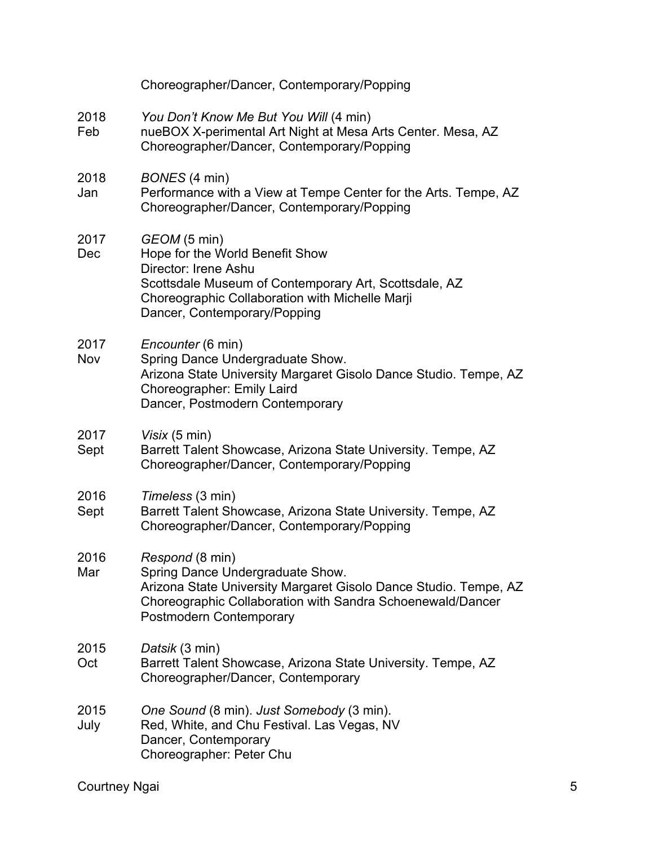|              | Choreographer/Dancer, Contemporary/Popping                                                                                                                                                                          |
|--------------|---------------------------------------------------------------------------------------------------------------------------------------------------------------------------------------------------------------------|
| 2018<br>Feb  | You Don't Know Me But You Will (4 min)<br>nueBOX X-perimental Art Night at Mesa Arts Center. Mesa, AZ<br>Choreographer/Dancer, Contemporary/Popping                                                                 |
| 2018<br>Jan  | BONES (4 min)<br>Performance with a View at Tempe Center for the Arts. Tempe, AZ<br>Choreographer/Dancer, Contemporary/Popping                                                                                      |
| 2017<br>Dec  | GEOM (5 min)<br>Hope for the World Benefit Show<br>Director: Irene Ashu<br>Scottsdale Museum of Contemporary Art, Scottsdale, AZ<br>Choreographic Collaboration with Michelle Marji<br>Dancer, Contemporary/Popping |
| 2017<br>Nov  | <i>Encounter</i> (6 min)<br>Spring Dance Undergraduate Show.<br>Arizona State University Margaret Gisolo Dance Studio. Tempe, AZ<br>Choreographer: Emily Laird<br>Dancer, Postmodern Contemporary                   |
| 2017<br>Sept | Visix (5 min)<br>Barrett Talent Showcase, Arizona State University. Tempe, AZ<br>Choreographer/Dancer, Contemporary/Popping                                                                                         |
| 2016<br>Sept | Timeless (3 min)<br>Barrett Talent Showcase, Arizona State University. Tempe, AZ<br>Choreographer/Dancer, Contemporary/Popping                                                                                      |
| 2016<br>Mar  | Respond (8 min)<br>Spring Dance Undergraduate Show.<br>Arizona State University Margaret Gisolo Dance Studio. Tempe, AZ<br>Choreographic Collaboration with Sandra Schoenewald/Dancer<br>Postmodern Contemporary    |
| 2015<br>Oct  | Datsik (3 min)<br>Barrett Talent Showcase, Arizona State University. Tempe, AZ<br>Choreographer/Dancer, Contemporary                                                                                                |
| 2015<br>July | One Sound (8 min). Just Somebody (3 min).<br>Red, White, and Chu Festival. Las Vegas, NV<br>Dancer, Contemporary<br>Choreographer: Peter Chu                                                                        |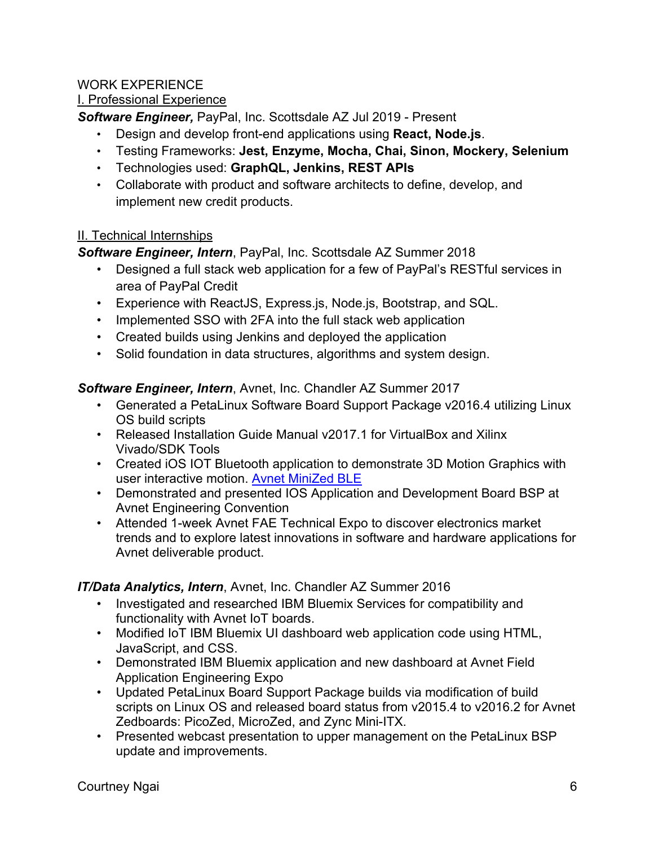## WORK EXPERIENCE

#### I. Professional Experience

*Software Engineer,* PayPal, Inc. Scottsdale AZ Jul 2019 - Present

- Design and develop front-end applications using **React, Node.js**.
- Testing Frameworks: **Jest, Enzyme, Mocha, Chai, Sinon, Mockery, Selenium**
- Technologies used: **GraphQL, Jenkins, REST APIs**
- Collaborate with product and software architects to define, develop, and implement new credit products.

#### II. Technical Internships

*Software Engineer, Intern*, PayPal, Inc. Scottsdale AZ Summer 2018

- Designed a full stack web application for a few of PayPal's RESTful services in area of PayPal Credit
- Experience with ReactJS, Express.js, Node.js, Bootstrap, and SQL.
- Implemented SSO with 2FA into the full stack web application
- Created builds using Jenkins and deployed the application
- Solid foundation in data structures, algorithms and system design.

#### *Software Engineer, Intern*, Avnet, Inc. Chandler AZ Summer 2017

- Generated a PetaLinux Software Board Support Package v2016.4 utilizing Linux OS build scripts
- Released Installation Guide Manual v2017.1 for VirtualBox and Xilinx Vivado/SDK Tools
- Created iOS IOT Bluetooth application to demonstrate 3D Motion Graphics with user interactive motion. Avnet MiniZed BLE
- Demonstrated and presented IOS Application and Development Board BSP at Avnet Engineering Convention
- Attended 1-week Avnet FAE Technical Expo to discover electronics market trends and to explore latest innovations in software and hardware applications for Avnet deliverable product.

#### *IT/Data Analytics, Intern*, Avnet, Inc. Chandler AZ Summer 2016

- Investigated and researched IBM Bluemix Services for compatibility and functionality with Avnet IoT boards.
- Modified IoT IBM Bluemix UI dashboard web application code using HTML, JavaScript, and CSS.
- Demonstrated IBM Bluemix application and new dashboard at Avnet Field Application Engineering Expo
- Updated PetaLinux Board Support Package builds via modification of build scripts on Linux OS and released board status from v2015.4 to v2016.2 for Avnet Zedboards: PicoZed, MicroZed, and Zync Mini-ITX.
- Presented webcast presentation to upper management on the PetaLinux BSP update and improvements.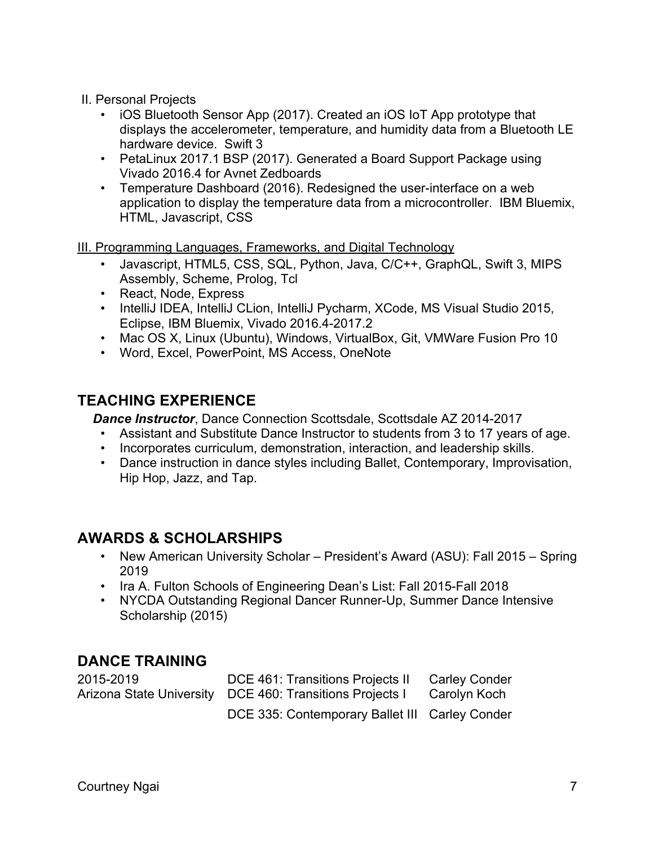II. Personal Projects

- iOS Bluetooth Sensor App (2017). Created an iOS IoT App prototype that displays the accelerometer, temperature, and humidity data from a Bluetooth LE hardware device. Swift 3
- PetaLinux 2017.1 BSP (2017). Generated a Board Support Package using Vivado 2016.4 for Avnet Zedboards
- Temperature Dashboard (2016). Redesigned the user-interface on a web application to display the temperature data from a microcontroller. IBM Bluemix, HTML, Javascript, CSS

III. Programming Languages, Frameworks, and Digital Technology

- Javascript, HTML5, CSS, SQL, Python, Java, C/C++, GraphQL, Swift 3, MIPS Assembly, Scheme, Prolog, Tcl
- React, Node, Express
- IntelliJ IDEA, IntelliJ CLion, IntelliJ Pycharm, XCode, MS Visual Studio 2015, Eclipse, IBM Bluemix, Vivado 2016.4-2017.2
- Mac OS X, Linux (Ubuntu), Windows, VirtualBox, Git, VMWare Fusion Pro 10
- Word, Excel, PowerPoint, MS Access, OneNote

# **TEACHING EXPERIENCE**

*Dance Instructor*, Dance Connection Scottsdale, Scottsdale AZ 2014-2017

- Assistant and Substitute Dance Instructor to students from 3 to 17 years of age.
- Incorporates curriculum, demonstration, interaction, and leadership skills.
- Dance instruction in dance styles including Ballet, Contemporary, Improvisation, Hip Hop, Jazz, and Tap.

## **AWARDS & SCHOLARSHIPS**

- New American University Scholar President's Award (ASU): Fall 2015 Spring 2019
- Ira A. Fulton Schools of Engineering Dean's List: Fall 2015-Fall 2018
- NYCDA Outstanding Regional Dancer Runner-Up, Summer Dance Intensive Scholarship (2015)

## **DANCE TRAINING**

| 2015-2019 | DCE 461: Transitions Projects II                                      | <b>Carley Conder</b> |
|-----------|-----------------------------------------------------------------------|----------------------|
|           | Arizona State University DCE 460: Transitions Projects I Carolyn Koch |                      |
|           | DCE 335: Contemporary Ballet III Carley Conder                        |                      |